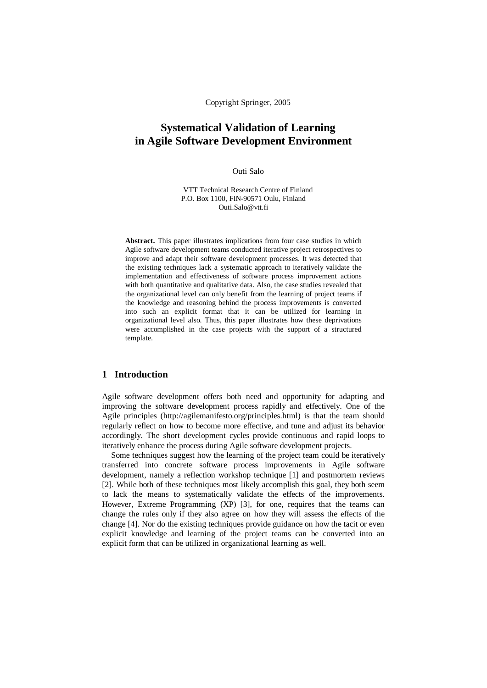# **Systematical Validation of Learning in Agile Software Development Environment**

Outi Salo

VTT Technical Research Centre of Finland P.O. Box 1100, FIN-90571 Oulu, Finland [Outi.Salo@vtt.fi](mailto:Outi.Salo@vtt.fi)

**Abstract.** This paper illustrates implications from four case studies in which Agile software development teams conducted iterative project retrospectives to improve and adapt their software development processes. It was detected that the existing techniques lack a systematic approach to iteratively validate the implementation and effectiveness of software process improvement actions with both quantitative and qualitative data. Also, the case studies revealed that the organizational level can only benefit from the learning of project teams if the knowledge and reasoning behind the process improvements is converted into such an explicit format that it can be utilized for learning in organizational level also. Thus, this paper illustrates how these deprivations were accomplished in the case projects with the support of a structured template.

# **1 Introduction**

Agile software development offers both need and opportunity for adapting and improving the software development process rapidly and effectively. One of the Agile principles (<http://agilemanifesto.org/principles.html>) is that the team should regularly reflect on how to become more effective, and tune and adjust its behavior accordingly. The short development cycles provide continuous and rapid loops to iteratively enhance the process during Agile software development projects.

Some techniques suggest how the learning of the project team could be iteratively transferred into concrete software process improvements in Agile software development, namely a reflection workshop technique [1] and postmortem reviews [2]. While both of these techniques most likely accomplish this goal, they both seem to lack the means to systematically validate the effects of the improvements. However, Extreme Programming (XP) [3], for one, requires that the teams can change the rules only if they also agree on how they will assess the effects of the change [4]. Nor do the existing techniques provide guidance on how the tacit or even explicit knowledge and learning of the project teams can be converted into an explicit form that can be utilized in organizational learning as well.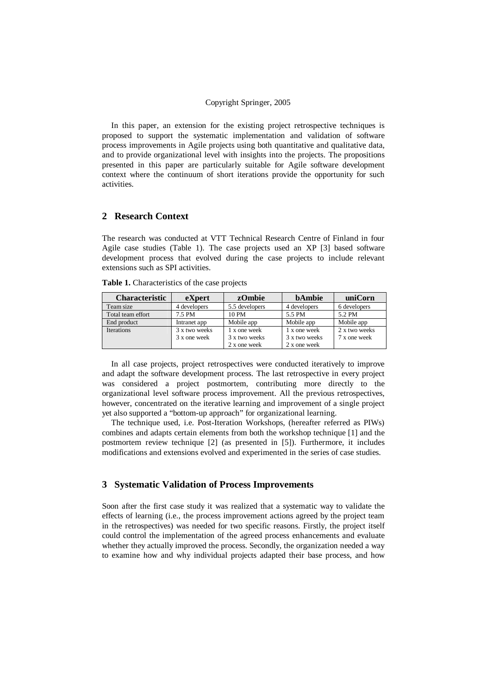In this paper, an extension for the existing project retrospective techniques is proposed to support the systematic implementation and validation of software process improvements in Agile projects using both quantitative and qualitative data, and to provide organizational level with insights into the projects. The propositions presented in this paper are particularly suitable for Agile software development context where the continuum of short iterations provide the opportunity for such activities.

## **2 Research Context**

The research was conducted at VTT Technical Research Centre of Finland in four Agile case studies (Table 1). The case projects used an XP [3] based software development process that evolved during the case projects to include relevant extensions such as SPI activities.

|  | Table 1. Characteristics of the case projects |  |  |
|--|-----------------------------------------------|--|--|
|--|-----------------------------------------------|--|--|

| <b>Characteristic</b> | eXpert        | zOmbie         | <b>bAmbie</b> | uniCorn       |
|-----------------------|---------------|----------------|---------------|---------------|
| Team size             | 4 developers  | 5.5 developers | 4 developers  | 6 developers  |
| Total team effort     | 7.5 PM        | 10 PM          | 5.5 PM        | 5.2 PM        |
| End product           | Intranet app  | Mobile app     | Mobile app    | Mobile app    |
| <b>Iterations</b>     | 3 x two weeks | 1 x one week   | 1 x one week  | 2 x two weeks |
|                       | 3 x one week  | 3 x two weeks  | 3 x two weeks | 7 x one week  |
|                       |               | 2 x one week   | 2 x one week  |               |

In all case projects, project retrospectives were conducted iteratively to improve and adapt the software development process. The last retrospective in every project was considered a project postmortem, contributing more directly to the organizational level software process improvement. All the previous retrospectives, however, concentrated on the iterative learning and improvement of a single project yet also supported a "bottom-up approach" for organizational learning.

The technique used, i.e. Post-Iteration Workshops, (hereafter referred as PIWs) combines and adapts certain elements from both the workshop technique [1] and the postmortem review technique [2] (as presented in [5]). Furthermore, it includes modifications and extensions evolved and experimented in the series of case studies.

## **3 Systematic Validation of Process Improvements**

Soon after the first case study it was realized that a systematic way to validate the effects of learning (i.e., the process improvement actions agreed by the project team in the retrospectives) was needed for two specific reasons. Firstly, the project itself could control the implementation of the agreed process enhancements and evaluate whether they actually improved the process. Secondly, the organization needed a way to examine how and why individual projects adapted their base process, and how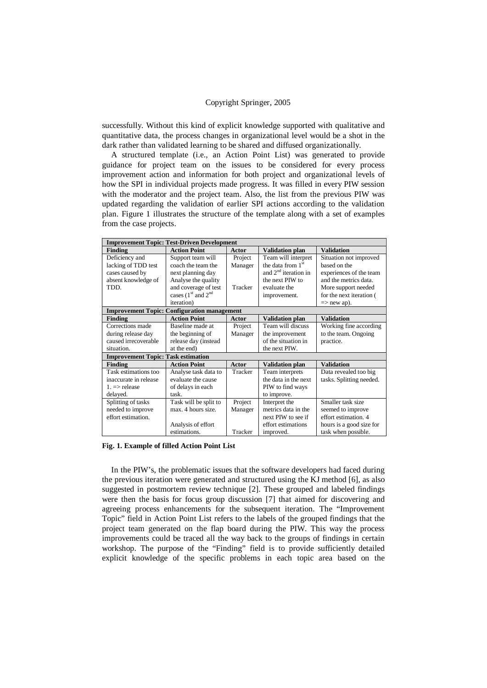successfully. Without this kind of explicit knowledge supported with qualitative and quantitative data, the process changes in organizational level would be a shot in the dark rather than validated learning to be shared and diffused organizationally.

A structured template (i.e., an Action Point List) was generated to provide guidance for project team on the issues to be considered for every process improvement action and information for both project and organizational levels of how the SPI in individual projects made progress. It was filled in every PIW session with the moderator and the project team. Also, the list from the previous PIW was updated regarding the validation of earlier SPI actions according to the validation plan. Figure 1 illustrates the structure of the template along with a set of examples from the case projects.

| <b>Improvement Topic: Test-Driven Development</b>  |                        |              |                               |                          |  |  |  |
|----------------------------------------------------|------------------------|--------------|-------------------------------|--------------------------|--|--|--|
| <b>Finding</b>                                     | <b>Action Point</b>    | <b>Actor</b> | <b>Validation plan</b>        | <b>Validation</b>        |  |  |  |
| Deficiency and                                     | Support team will      | Project      | Team will interpret           | Situation not improved   |  |  |  |
| lacking of TDD test                                | coach the team the     | Manager      | the data from 1 <sup>st</sup> | based on the             |  |  |  |
| cases caused by                                    | next planning day      |              | and $2nd$ iteration in        | experiences of the team  |  |  |  |
| absent knowledge of                                | Analyse the quality    |              | the next PIW to               | and the metrics data.    |  |  |  |
| TDD.                                               | and coverage of test   | Tracker      | evaluate the                  | More support needed      |  |  |  |
|                                                    | cases $(1st$ and $2nd$ |              | improvement.                  | for the next iteration ( |  |  |  |
|                                                    | <i>iteration</i> )     |              |                               | $\Rightarrow$ new ap).   |  |  |  |
| <b>Improvement Topic: Configuration management</b> |                        |              |                               |                          |  |  |  |
| <b>Finding</b>                                     | <b>Action Point</b>    | Actor        | <b>Validation plan</b>        | <b>Validation</b>        |  |  |  |
| Corrections made                                   | Baseline made at       | Project      | Team will discuss             | Working fine according   |  |  |  |
| during release day                                 | the beginning of       | Manager      | the improvement               | to the team. Ongoing     |  |  |  |
| caused irrecoverable                               | release day (instead   |              | of the situation in           | practice.                |  |  |  |
| situation.                                         | at the end)            |              | the next PIW.                 |                          |  |  |  |
| <b>Improvement Topic: Task estimation</b>          |                        |              |                               |                          |  |  |  |
| <b>Finding</b>                                     | <b>Action Point</b>    | Actor        | <b>Validation plan</b>        | <b>Validation</b>        |  |  |  |
| Task estimations too                               | Analyse task data to   | Tracker      | Team interprets               | Data revealed too big    |  |  |  |
| inaccurate in release                              | evaluate the cause     |              | the data in the next          | tasks. Splitting needed. |  |  |  |
| $1 \Rightarrow$ release                            | of delays in each      |              | PIW to find ways              |                          |  |  |  |
| delayed.                                           | task.                  |              | to improve.                   |                          |  |  |  |
| Splitting of tasks                                 | Task will be split to  | Project      | Interpret the                 | Smaller task size        |  |  |  |
| needed to improve                                  | max. 4 hours size.     | Manager      | metrics data in the           | seemed to improve        |  |  |  |
| effort estimation.                                 |                        |              | next PIW to see if            | effort estimation. 4     |  |  |  |
|                                                    | Analysis of effort     |              | effort estimations            | hours is a good size for |  |  |  |
|                                                    | estimations.           | Tracker      | improved.                     | task when possible.      |  |  |  |

**Fig. 1. Example of filled Action Point List**

In the PIW's, the problematic issues that the software developers had faced during the previous iteration were generated and structured using the KJ method [6], as also suggested in postmortem review technique [2]. These grouped and labeled findings were then the basis for focus group discussion [7] that aimed for discovering and agreeing process enhancements for the subsequent iteration. The "Improvement Topic" field in Action Point List refers to the labels of the grouped findings that the project team generated on the flap board during the PIW. This way the process improvements could be traced all the way back to the groups of findings in certain workshop. The purpose of the "Finding" field is to provide sufficiently detailed explicit knowledge of the specific problems in each topic area based on the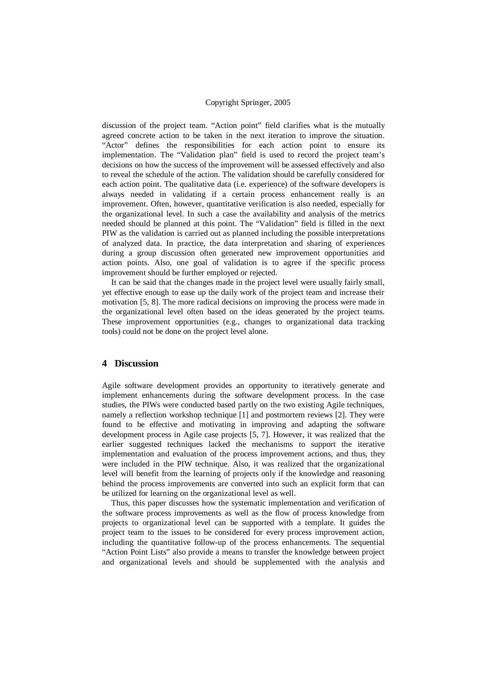discussion of the project team. "Action point" field clarifies what is the mutually agreed concrete action to be taken in the next iteration to improve the situation. "Actor" defines the responsibilities for each action point to ensure its implementation. The "Validation plan" field is used to record the project team's decisions on how the success of the improvement will be assessed effectively and also to reveal the schedule of the action. The validation should be carefully considered for each action point. The qualitative data (i.e. experience) of the software developers is always needed in validating if a certain process enhancement really is an improvement. Often, however, quantitative verification is also needed, especially for the organizational level. In such a case the availability and analysis of the metrics needed should be planned at this point. The "Validation" field is filled in the next PIW as the validation is carried out as planned including the possible interpretations of analyzed data. In practice, the data interpretation and sharing of experiences during a group discussion often generated new improvement opportunities and action points. Also, one goal of validation is to agree if the specific process improvement should be further employed or rejected.

It can be said that the changes made in the project level were usually fairly small, yet effective enough to ease up the daily work of the project team and increase their motivation [5, 8]. The more radical decisions on improving the process were made in the organizational level often based on the ideas generated by the project teams. These improvement opportunities (e.g., changes to organizational data tracking tools) could not be done on the project level alone.

# **4 Discussion**

Agile software development provides an opportunity to iteratively generate and implement enhancements during the software development process. In the case studies, the PIWs were conducted based partly on the two existing Agile techniques, namely a reflection workshop technique [1] and postmortem reviews [2]. They were found to be effective and motivating in improving and adapting the software development process in Agile case projects [5, 7]. However, it was realized that the earlier suggested techniques lacked the mechanisms to support the iterative implementation and evaluation of the process improvement actions, and thus, they were included in the PIW technique. Also, it was realized that the organizational level will benefit from the learning of projects only if the knowledge and reasoning behind the process improvements are converted into such an explicit form that can be utilized for learning on the organizational level as well.

Thus, this paper discusses how the systematic implementation and verification of the software process improvements as well as the flow of process knowledge from projects to organizational level can be supported with a template. It guides the project team to the issues to be considered for every process improvement action, including the quantitative follow-up of the process enhancements. The sequential "Action Point Lists" also provide a means to transfer the knowledge between project and organizational levels and should be supplemented with the analysis and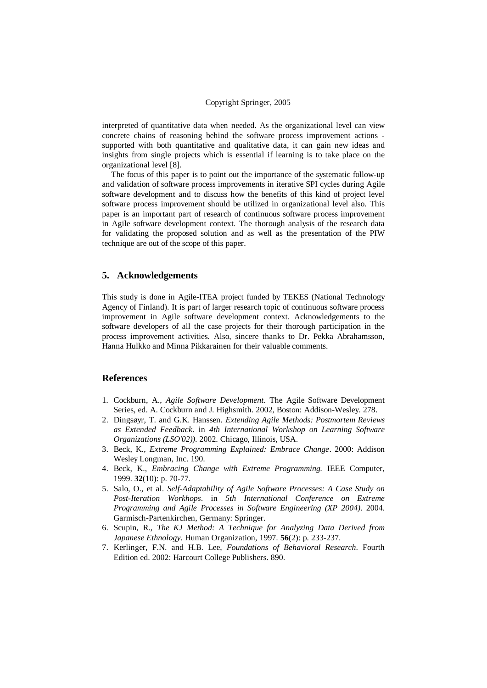interpreted of quantitative data when needed. As the organizational level can view concrete chains of reasoning behind the software process improvement actions supported with both quantitative and qualitative data, it can gain new ideas and insights from single projects which is essential if learning is to take place on the organizational level [8].

The focus of this paper is to point out the importance of the systematic follow-up and validation of software process improvements in iterative SPI cycles during Agile software development and to discuss how the benefits of this kind of project level software process improvement should be utilized in organizational level also. This paper is an important part of research of continuous software process improvement in Agile software development context. The thorough analysis of the research data for validating the proposed solution and as well as the presentation of the PIW technique are out of the scope of this paper.

### **5. Acknowledgements**

This study is done in Agile-ITEA project funded by TEKES (National Technology Agency of Finland). It is part of larger research topic of continuous software process improvement in Agile software development context. Acknowledgements to the software developers of all the case projects for their thorough participation in the process improvement activities. Also, sincere thanks to Dr. Pekka Abrahamsson, Hanna Hulkko and Minna Pikkarainen for their valuable comments.

## **References**

- 1. Cockburn, A., *Agile Software Development*. The Agile Software Development Series, ed. A. Cockburn and J. Highsmith. 2002, Boston: Addison-Wesley. 278.
- 2. Dingsøyr, T. and G.K. Hanssen. *Extending Agile Methods: Postmortem Reviews as Extended Feedback*. in *4th International Workshop on Learning Software Organizations (LSO'02))*. 2002. Chicago, Illinois, USA.
- 3. Beck, K., *Extreme Programming Explained: Embrace Change*. 2000: Addison Wesley Longman, Inc. 190.
- 4. Beck, K., *Embracing Change with Extreme Programming.* IEEE Computer, 1999. **32**(10): p. 70-77.
- 5. Salo, O., et al. *Self-Adaptability of Agile Software Processes: A Case Study on Post-Iteration Workhops*. in *5th International Conference on Extreme Programming and Agile Processes in Software Engineering (XP 2004)*. 2004. Garmisch-Partenkirchen, Germany: Springer.
- 6. Scupin, R., *The KJ Method: A Technique for Analyzing Data Derived from Japanese Ethnology.* Human Organization, 1997. **56**(2): p. 233-237.
- 7. Kerlinger, F.N. and H.B. Lee, *Foundations of Behavioral Research*. Fourth Edition ed. 2002: Harcourt College Publishers. 890.